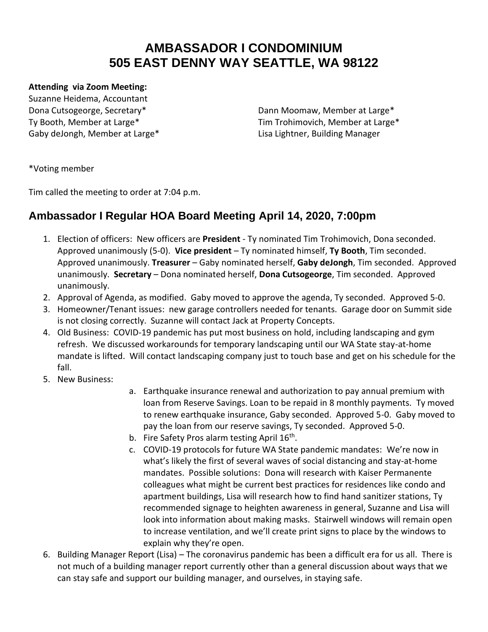## **AMBASSADOR I CONDOMINIUM 505 EAST DENNY WAY SEATTLE, WA 98122**

## **Attending via Zoom Meeting:**

Suzanne Heidema, Accountant Gaby deJongh, Member at Large\* Lisa Lightner, Building Manager

Dona Cutsogeorge, Secretary\* The Connection of Dann Moomaw, Member at Large\* Ty Booth, Member at Large\* Tim Trohimovich, Member at Large\*

\*Voting member

Tim called the meeting to order at 7:04 p.m.

## **Ambassador I Regular HOA Board Meeting April 14, 2020, 7:00pm**

- 1. Election of officers: New officers are **President** Ty nominated Tim Trohimovich, Dona seconded. Approved unanimously (5-0). **Vice president** – Ty nominated himself, **Ty Booth**, Tim seconded. Approved unanimously. **Treasurer** – Gaby nominated herself, **Gaby deJongh**, Tim seconded. Approved unanimously. **Secretary** – Dona nominated herself, **Dona Cutsogeorge**, Tim seconded. Approved unanimously.
- 2. Approval of Agenda, as modified. Gaby moved to approve the agenda, Ty seconded. Approved 5-0.
- 3. Homeowner/Tenant issues: new garage controllers needed for tenants. Garage door on Summit side is not closing correctly. Suzanne will contact Jack at Property Concepts.
- 4. Old Business: COVID-19 pandemic has put most business on hold, including landscaping and gym refresh. We discussed workarounds for temporary landscaping until our WA State stay-at-home mandate is lifted. Will contact landscaping company just to touch base and get on his schedule for the fall.
- 5. New Business:
- a. Earthquake insurance renewal and authorization to pay annual premium with loan from Reserve Savings. Loan to be repaid in 8 monthly payments. Ty moved to renew earthquake insurance, Gaby seconded. Approved 5-0. Gaby moved to pay the loan from our reserve savings, Ty seconded. Approved 5-0.
- b. Fire Safety Pros alarm testing April 16<sup>th</sup>.
- c. COVID-19 protocols for future WA State pandemic mandates: We're now in what's likely the first of several waves of social distancing and stay-at-home mandates. Possible solutions: Dona will research with Kaiser Permanente colleagues what might be current best practices for residences like condo and apartment buildings, Lisa will research how to find hand sanitizer stations, Ty recommended signage to heighten awareness in general, Suzanne and Lisa will look into information about making masks. Stairwell windows will remain open to increase ventilation, and we'll create print signs to place by the windows to explain why they're open.
- 6. Building Manager Report (Lisa) The coronavirus pandemic has been a difficult era for us all. There is not much of a building manager report currently other than a general discussion about ways that we can stay safe and support our building manager, and ourselves, in staying safe.